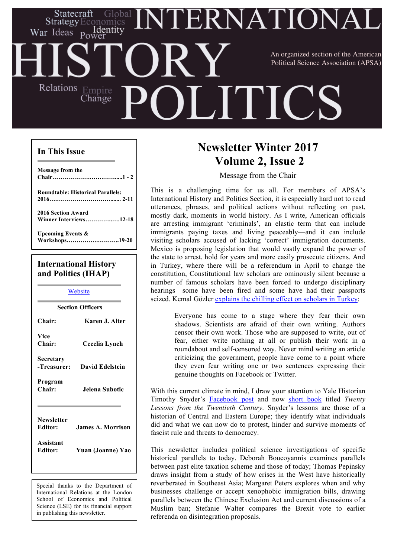# ERNATIONA Statecraft Identity War Ideas Power An organized section of the American Political Science Association (APSA)Relations Empire **HILLE** Change

### **In This Issue**

| Message from the                         |
|------------------------------------------|
| <b>Roundtable: Historical Parallels:</b> |
|                                          |
| <b>2016 Section Award</b>                |
| Winner Interviews12-18                   |
| <b>Upcoming Events &amp;</b>             |
| Workshops19-20                           |
|                                          |
| $\mathbf{r}$ , the state of $\mathbf{r}$ |

## **International History and Politics (IHAP)**

**Website Section Officers Chair: Karen J. Alter Vice Chair: Cecelia Lynch Secretary -Treasurer: David Edelstein Program Chair: Jelena Subotic Newsletter Editor: James A. Morrison**

**Assistant Editor: Yuan (Joanne) Yao**

Special thanks to the Department of International Relations at the London School of Economics and Political Science (LSE) for its financial support in publishing this newsletter.

# **Newsletter Winter 2017 Volume 2, Issue 2**

Message from the Chair

This is a challenging time for us all. For members of APSA's International History and Politics Section, it is especially hard not to read utterances, phrases, and political actions without reflecting on past, mostly dark, moments in world history. As I write, American officials are arresting immigrant 'criminals', an elastic term that can include immigrants paying taxes and living peaceably—and it can include visiting scholars accused of lacking 'correct' immigration documents. Mexico is proposing legislation that would vastly expand the power of the state to arrest, hold for years and more easily prosecute citizens. And in Turkey, where there will be a referendum in April to change the constitution, Constitutional law scholars are ominously silent because a number of famous scholars have been forced to undergo disciplinary hearings—some have been fired and some have had their passports seized. Kemal Gözler explains the chilling effect on scholars in Turkey:

> Everyone has come to a stage where they fear their own shadows. Scientists are afraid of their own writing. Authors censor their own work. Those who are supposed to write, out of fear, either write nothing at all or publish their work in a roundabout and self-censored way. Never mind writing an article criticizing the government, people have come to a point where they even fear writing one or two sentences expressing their genuine thoughts on Facebook or Twitter.

With this current climate in mind, I draw your attention to Yale Historian Timothy Snyder's Facebook post and now short book titled *Twenty Lessons from the Twentieth Century*. Snyder's lessons are those of a historian of Central and Eastern Europe; they identify what individuals did and what we can now do to protest, hinder and survive moments of fascist rule and threats to democracy.

This newsletter includes political science investigations of specific historical parallels to today. Deborah Boucoyannis examines parallels between past elite taxation scheme and those of today; Thomas Pepinsky draws insight from a study of how crises in the West have historically reverberated in Southeast Asia; Margaret Peters explores when and why businesses challenge or accept xenophobic immigration bills, drawing parallels between the Chinese Exclusion Act and current discussions of a Muslim ban; Stefanie Walter compares the Brexit vote to earlier referenda on disintegration proposals.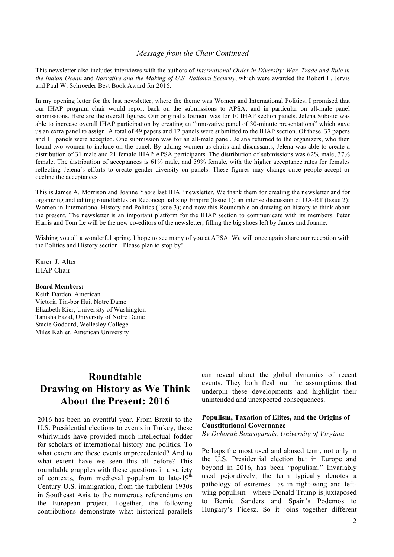#### *Message from the Chair Continued*

This newsletter also includes interviews with the authors of *International Order in Diversity: War, Trade and Rule in the Indian Ocean* and *Narrative and the Making of U.S. National Security*, which were awarded the Robert L. Jervis and Paul W. Schroeder Best Book Award for 2016.

In my opening letter for the last newsletter, where the theme was Women and International Politics, I promised that our IHAP program chair would report back on the submissions to APSA, and in particular on all-male panel submissions. Here are the overall figures. Our original allotment was for 10 IHAP section panels. Jelena Subotic was able to increase overall IHAP participation by creating an "innovative panel of 30-minute presentations" which gave us an extra panel to assign. A total of 49 papers and 12 panels were submitted to the IHAP section. Of these, 37 papers and 11 panels were accepted. One submission was for an all-male panel. Jelana returned to the organizers, who then found two women to include on the panel. By adding women as chairs and discussants, Jelena was able to create a distribution of 31 male and 21 female IHAP APSA participants. The distribution of submissions was 62% male, 37% female. The distribution of acceptances is 61% male, and 39% female, with the higher acceptance rates for females reflecting Jelena's efforts to create gender diversity on panels. These figures may change once people accept or decline the acceptances.

This is James A. Morrison and Joanne Yao's last IHAP newsletter. We thank them for creating the newsletter and for organizing and editing roundtables on Reconceptualizing Empire (Issue 1); an intense discussion of DA-RT (Issue 2); Women in International History and Politics (Issue 3); and now this Roundtable on drawing on history to think about the present. The newsletter is an important platform for the IHAP section to communicate with its members. Peter Harris and Tom Le will be the new co-editors of the newsletter, filling the big shoes left by James and Joanne.

Wishing you all a wonderful spring. I hope to see many of you at APSA. We will once again share our reception with the Politics and History section. Please plan to stop by!

Karen J. Alter IHAP Chair

#### **Board Members:**

Keith Darden, American Victoria Tin-bor Hui, Notre Dame Elizabeth Kier, University of Washington Tanisha Fazal, University of Notre Dame Stacie Goddard, Wellesley College Miles Kahler, American University

# **Roundtable Drawing on History as We Think About the Present: 2016**

2016 has been an eventful year. From Brexit to the U.S. Presidential elections to events in Turkey, these whirlwinds have provided much intellectual fodder for scholars of international history and politics. To what extent are these events unprecedented? And to what extent have we seen this all before? This roundtable grapples with these questions in a variety of contexts, from medieval populism to late- $19<sup>th</sup>$ Century U.S. immigration, from the turbulent 1930s in Southeast Asia to the numerous referendums on the European project. Together, the following contributions demonstrate what historical parallels can reveal about the global dynamics of recent events. They both flesh out the assumptions that underpin these developments and highlight their unintended and unexpected consequences.

### **Populism, Taxation of Elites, and the Origins of Constitutional Governance**

*By Deborah Boucoyannis, University of Virginia*

Perhaps the most used and abused term, not only in the U.S. Presidential election but in Europe and beyond in 2016, has been "populism." Invariably used pejoratively, the term typically denotes a pathology of extremes—as in right-wing and leftwing populism—where Donald Trump is juxtaposed to Bernie Sanders and Spain's Podemos to Hungary's Fidesz. So it joins together different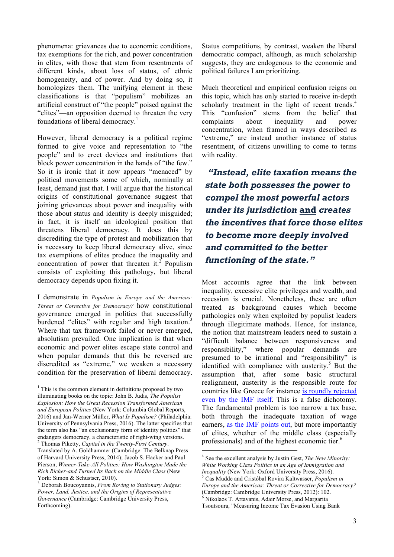phenomena: grievances due to economic conditions, tax exemptions for the rich, and power concentration in elites, with those that stem from resentments of different kinds, about loss of status, of ethnic homogeneity, and of power. And by doing so, it homologizes them. The unifying element in these classifications is that "populism" mobilizes an artificial construct of "the people" poised against the "elites"—an opposition deemed to threaten the very foundations of liberal democracy.<sup>1</sup>

However, liberal democracy is a political regime formed to give voice and representation to "the people" and to erect devices and institutions that block power concentration in the hands of "the few." So it is ironic that it now appears "menaced" by political movements some of which, nominally at least, demand just that. I will argue that the historical origins of constitutional governance suggest that joining grievances about power and inequality with those about status and identity is deeply misguided; in fact, it is itself an ideological position that threatens liberal democracy. It does this by discrediting the type of protest and mobilization that is necessary to keep liberal democracy alive, since tax exemptions of elites produce the inequality and concentration of power that threaten it. $2$  Populism consists of exploiting this pathology, but liberal democracy depends upon fixing it.

I demonstrate in *Populism in Europe and the Americas: Threat or Corrective for Democracy?* how constitutional governance emerged in polities that successfully burdened "elites" with regular and high taxation.<sup>3</sup> Where that tax framework failed or never emerged, absolutism prevailed. One implication is that when economic and power elites escape state control and when popular demands that this be reversed are discredited as "extreme," we weaken a necessary condition for the preservation of liberal democracy.

Status competitions, by contrast, weaken the liberal democratic compact, although, as much scholarship suggests, they are endogenous to the economic and political failures I am prioritizing.

Much theoretical and empirical confusion reigns on this topic, which has only started to receive in-depth scholarly treatment in the light of recent trends.<sup>4</sup> This "confusion" stems from the belief that complaints about inequality and power concentration, when framed in ways described as "extreme," are instead another instance of status resentment, of citizens unwilling to come to terms with reality.

*"Instead, elite taxation means the state both possesses the power to compel the most powerful actors under its jurisdiction* **and** *creates the incentives that force those elites to become more deeply involved and committed to the better functioning of the state."*

Most accounts agree that the link between inequality, excessive elite privileges and wealth, and recession is crucial. Nonetheless, these are often treated as background causes which become pathologies only when exploited by populist leaders through illegitimate methods. Hence, for instance, the notion that mainstream leaders need to sustain a "difficult balance between responsiveness and responsibility," where popular demands are presumed to be irrational and "responsibility" is identified with compliance with austerity. $5$  But the assumption that, after some basic structural realignment, austerity is the responsible route for countries like Greece for instance is roundly rejected even by the IMF itself. This is a false dichotomy. The fundamental problem is too narrow a tax base, both through the inadequate taxation of wage earners, as the IMF points out, but more importantly of elites, whether of the middle class (especially professionals) and of the highest economic tier.<sup>6</sup>

 $1$ <sup>1</sup> This is the common element in definitions proposed by two illuminating books on the topic: John B. Judis, *The Populist Explosion: How the Great Recession Transformed American and European Politics* (New York: Columbia Global Reports, 2016) and Jan-Werner Müller, *What Is Populism?* (Philadelphia: University of Pennsylvania Press, 2016). The latter specifies that the term also has "an exclusionary form of identity politics" that endangers democracy, a characteristic of right-wing versions. <sup>2</sup> Thomas Piketty, *Capital in the Twenty-First Century*.

Translated by A. Goldhammer (Cambridge: The Belknap Press of Harvard University Press, 2014); Jacob S. Hacker and Paul Pierson, *Winner-Take-All Politics: How Washington Made the Rich Richer-and Turned Its Back on the Middle Class* (New

York: Simon & Schustser, 2010). <sup>3</sup> Deborah Boucoyannis, *From Roving to Stationary Judges: Power, Land, Justice, and the Origins of Representative Governance* (Cambridge: Cambridge University Press, Forthcoming).

 <sup>4</sup> See the excellent analysis by Justin Gest, *The New Minority: White Working Class Politics in an Age of Immigration and Inequality* (New York: Oxford University Press, 2016). 5 Cas Mudde and Cristóbal Rovira Kaltwasser, *Populism in* 

*Europe and the Americas: Threat or Corrective for Democracy?*  $6$  Nikolaos T. Artavanis, Adair Morse, and Margarita

Tsoutsoura, "Measuring Income Tax Evasion Using Bank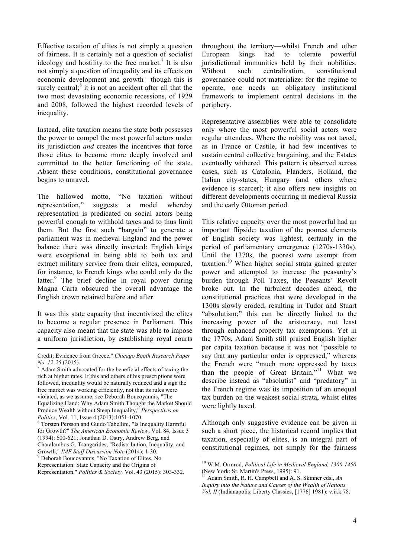Effective taxation of elites is not simply a question of fairness. It is certainly not a question of socialist ideology and hostility to the free market.<sup>7</sup> It is also not simply a question of inequality and its effects on economic development and growth—though this is surely central; $\delta$  it is not an accident after all that the two most devastating economic recessions, of 1929 and 2008, followed the highest recorded levels of inequality.

Instead, elite taxation means the state both possesses the power to compel the most powerful actors under its jurisdiction *and* creates the incentives that force those elites to become more deeply involved and committed to the better functioning of the state. Absent these conditions, constitutional governance begins to unravel.

The hallowed motto, "No taxation without representation," suggests a model whereby representation is predicated on social actors being powerful enough to withhold taxes and to thus limit them. But the first such "bargain" to generate a parliament was in medieval England and the power balance there was directly inverted: English kings were exceptional in being able to both tax and extract military service from their elites, compared, for instance, to French kings who could only do the latter.<sup>9</sup> The brief decline in royal power during Magna Carta obscured the overall advantage the English crown retained before and after.

It was this state capacity that incentivized the elites to become a regular presence in Parliament. This capacity also meant that the state was able to impose a uniform jurisdiction, by establishing royal courts

throughout the territory—whilst French and other European kings had to tolerate powerful jurisdictional immunities held by their nobilities. Without such centralization, constitutional governance could not materialize: for the regime to operate, one needs an obligatory institutional framework to implement central decisions in the periphery.

Representative assemblies were able to consolidate only where the most powerful social actors were regular attendees. Where the nobility was not taxed, as in France or Castile, it had few incentives to sustain central collective bargaining, and the Estates eventually withered. This pattern is observed across cases, such as Catalonia, Flanders, Holland, the Italian city-states, Hungary (and others where evidence is scarcer); it also offers new insights on different developments occurring in medieval Russia and the early Ottoman period.

This relative capacity over the most powerful had an important flipside: taxation of the poorest elements of English society was lightest, certainly in the period of parliamentary emergence (1270s-1330s). Until the 1370s, the poorest were exempt from taxation.<sup>10</sup> When higher social strata gained greater power and attempted to increase the peasantry's burden through Poll Taxes, the Peasants' Revolt broke out. In the turbulent decades ahead, the constitutional practices that were developed in the 1300s slowly eroded, resulting in Tudor and Stuart "absolutism;" this can be directly linked to the increasing power of the aristocracy, not least through enhanced property tax exemptions. Yet in the 1770s, Adam Smith still praised English higher per capita taxation because it was not "possible to say that any particular order is oppressed," whereas the French were "much more oppressed by taxes than the people of Great Britain."<sup>11</sup> What we describe instead as "absolutist" and "predatory" in the French regime was its imposition of an unequal tax burden on the weakest social strata, whilst elites were lightly taxed.

Although only suggestive evidence can be given in such a short piece, the historical record implies that taxation, especially of elites, is an integral part of constitutional regimes, not simply for the fairness

Credit: Evidence from Greece," *Chicago Booth Research Paper No. 12-25* (2015).<br><sup>7</sup> Adam Smith advocated for the beneficial effects of taxing the

rich at higher rates. If this and others of his prescriptions were followed, inequality would be naturally reduced and a sign the free market was working efficiently, not that its rules were violated, as we assume; see Deborah Boucoyannis, "The Equalizing Hand: Why Adam Smith Thought the Market Should Produce Wealth without Steep Inequality," *Perspectives on Politics*, Vol. 11, Issue 4 (2013):1051-1070.<br><sup>8</sup> Torsten Persson and Guido Tabellini, "Is Inequality Harmful

for Growth?" *The American Economic Review*, Vol. 84, Issue 3 (1994): 600-621; Jonathan D. Ostry, Andrew Berg, and Charalambos G. Tsangarides, "Redistribution, Inequality, and

Growth," *IMF Staff Discussion Note* (2014): 1-30.<br><sup>9</sup> Deborah Boucoyannis, "No Taxation of Elites, No

Representation: State Capacity and the Origins of

Representation," *Politics & Society,* Vol. 43 (2015): 303-332.

 <sup>10</sup> W.M. Ormrod, *Political Life in Medieval England, 1300-1450*  (New York: St. Martin's Press, 1995): 91.

<sup>11</sup> Adam Smith, R. H. Campbell and A. S. Skinner eds., *An Inquiry into the Nature and Causes of the Wealth of Nations Vol. II* (Indianapolis: Liberty Classics, [1776] 1981): v.ii.k.78.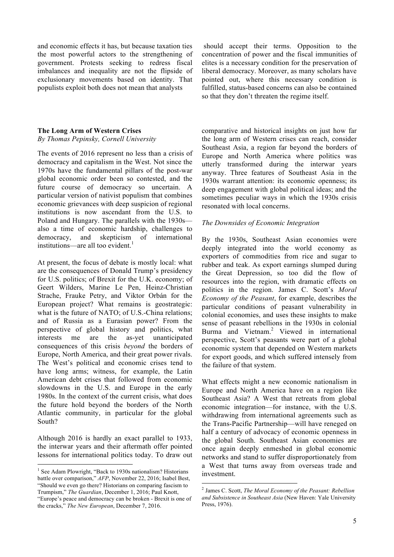and economic effects it has, but because taxation ties the most powerful actors to the strengthening of government. Protests seeking to redress fiscal imbalances and inequality are not the flipside of exclusionary movements based on identity. That populists exploit both does not mean that analysts

### **The Long Arm of Western Crises**

*By Thomas Pepinsky, Cornell University*

The events of 2016 represent no less than a crisis of democracy and capitalism in the West. Not since the 1970s have the fundamental pillars of the post-war global economic order been so contested, and the future course of democracy so uncertain. A particular version of nativist populism that combines economic grievances with deep suspicion of regional institutions is now ascendant from the U.S. to Poland and Hungary. The parallels with the 1930s also a time of economic hardship, challenges to democracy, and skepticism of international institutions—are all too evident.<sup>1</sup>

At present, the focus of debate is mostly local: what are the consequences of Donald Trump's presidency for U.S. politics; of Brexit for the U.K. economy; of Geert Wilders, Marine Le Pen, Heinz-Christian Strache, Frauke Petry, and Viktor Orbán for the European project? What remains is geostrategic: what is the future of NATO; of U.S.-China relations; and of Russia as a Eurasian power? From the perspective of global history and politics, what interests me are the as-yet unanticipated consequences of this crisis *beyond* the borders of Europe, North America, and their great power rivals. The West's political and economic crises tend to have long arms; witness, for example, the Latin American debt crises that followed from economic slowdowns in the U.S. and Europe in the early 1980s. In the context of the current crisis, what does the future hold beyond the borders of the North Atlantic community, in particular for the global South?

Although 2016 is hardly an exact parallel to 1933, the interwar years and their aftermath offer pointed lessons for international politics today. To draw out

should accept their terms. Opposition to the concentration of power and the fiscal immunities of elites is a necessary condition for the preservation of liberal democracy. Moreover, as many scholars have pointed out, where this necessary condition is fulfilled, status-based concerns can also be contained so that they don't threaten the regime itself.

comparative and historical insights on just how far the long arm of Western crises can reach, consider Southeast Asia, a region far beyond the borders of Europe and North America where politics was utterly transformed during the interwar years anyway. Three features of Southeast Asia in the 1930s warrant attention: its economic openness; its deep engagement with global political ideas; and the sometimes peculiar ways in which the 1930s crisis resonated with local concerns.

#### *The Downsides of Economic Integration*

By the 1930s, Southeast Asian economies were deeply integrated into the world economy as exporters of commodities from rice and sugar to rubber and teak. As export earnings slumped during the Great Depression, so too did the flow of resources into the region, with dramatic effects on politics in the region. James C. Scott's *Moral Economy of the Peasant*, for example, describes the particular conditions of peasant vulnerability in colonial economies, and uses these insights to make sense of peasant rebellions in the 1930s in colonial Burma and Vietnam.<sup>2</sup> Viewed in international perspective, Scott's peasants were part of a global economic system that depended on Western markets for export goods, and which suffered intensely from the failure of that system.

What effects might a new economic nationalism in Europe and North America have on a region like Southeast Asia? A West that retreats from global economic integration—for instance, with the U.S. withdrawing from international agreements such as the Trans-Pacific Partnership—will have reneged on half a century of advocacy of economic openness in the global South. Southeast Asian economies are once again deeply enmeshed in global economic networks and stand to suffer disproportionately from a West that turns away from overseas trade and investment.

<sup>&</sup>lt;sup>1</sup> See Adam Plowright, "Back to 1930s nationalism? Historians battle over comparison," *AFP*, November 22, 2016; Isabel Best, "Should we even go there? Historians on comparing fascism to Trumpism," *The Guardian*, December 1, 2016; Paul Knott, "Europe's peace and democracy can be broken - Brexit is one of the cracks," *The New European*, December 7, 2016.

 <sup>2</sup> James C. Scott, *The Moral Economy of the Peasant: Rebellion and Subsistence in Southeast Asia* (New Haven: Yale University Press, 1976).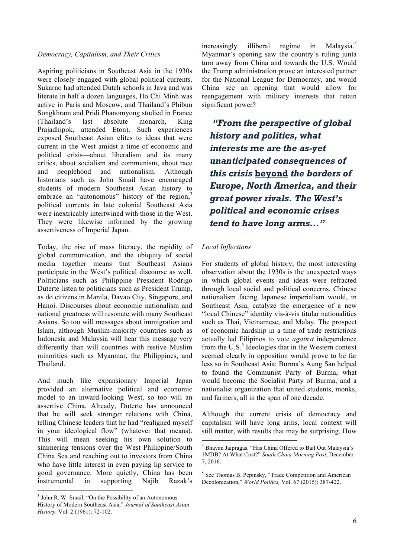### *Democracy, Capitalism, and Their Critics*

Aspiring politicians in Southeast Asia in the 1930s were closely engaged with global political currents. Sukarno had attended Dutch schools in Java and was literate in half a dozen languages, Ho Chi Minh was active in Paris and Moscow, and Thailand's Phibun Songkhram and Pridi Phanomyong studied in France (Thailand's last absolute monarch, King Prajadhipok, attended Eton). Such experiences exposed Southeast Asian elites to ideas that were current in the West amidst a time of economic and political crisis—about liberalism and its many critics, about socialism and communism, about race and peoplehood and nationalism. Although historians such as John Smail have encouraged students of modern Southeast Asian history to embrace an "autonomous" history of the region,<sup>3</sup> political currents in late colonial Southeast Asia were inextricably intertwined with those in the West. They were likewise informed by the growing assertiveness of Imperial Japan.

Today, the rise of mass literacy, the rapidity of global communication, and the ubiquity of social media together means that Southeast Asians participate in the West's political discourse as well. Politicians such as Philippine President Rodrigo Duterte listen to politicians such as President Trump, as do citizens in Manila, Davao City, Singapore, and Hanoi. Discourses about economic nationalism and national greatness will resonate with many Southeast Asians. So too will messages about immigration and Islam, although Muslim-majority countries such as Indonesia and Malaysia will hear this message very differently than will countries with restive Muslim minorities such as Myanmar, the Philippines, and Thailand.

And much like expansionary Imperial Japan provided an alternative political and economic model to an inward-looking West, so too will an assertive China. Already, Duterte has announced that he will seek stronger relations with China, telling Chinese leaders that he had "realigned myself in your ideological flow" (whatever that means). This will mean seeking his own solution to simmering tensions over the West Philippine/South China Sea and reaching out to investors from China who have little interest in even paying lip service to good governance. More quietly, China has been instrumental in supporting Najib Razak's

increasingly illiberal regime in Malaysia.<sup>4</sup> Myanmar's opening saw the country's ruling junta turn away from China and towards the U.S. Would the Trump administration prove an interested partner for the National League for Democracy, and would China see an opening that would allow for reengagement with military interests that retain significant power?

*"From the perspective of global history and politics, what interests me are the as-yet unanticipated consequences of this crisis* **beyond** *the borders of Europe, North America, and their great power rivals. The West's political and economic crises tend to have long arms…"*

### *Local Inflections*

For students of global history, the most interesting observation about the 1930s is the unexpected ways in which global events and ideas were refracted through local social and political concerns. Chinese nationalism facing Japanese imperialism would, in Southeast Asia, catalyze the emergence of a new "local Chinese" identity vis-à-vis titular nationalities such as Thai, Vietnamese, and Malay. The prospect of economic hardship in a time of trade restrictions actually led Filipinos to vote *against* independence from the U.S. $<sup>5</sup>$  Ideologies that in the Western context</sup> seemed clearly in opposition would prove to be far less so in Southeast Asia: Burma's Aung San helped to found the Communist Party of Burma, what would become the Socialist Party of Burma, and a nationalist organization that united students, monks, and farmers, all in the span of one decade.

Although the current crisis of democracy and capitalism will have long arms, local context will still matter, with results that may be surprising. How

 <sup>3</sup> John R. W. Smail, "On the Possibility of an Autonomous History of Modern Southeast Asia," *Journal of Southeast Asian History,* Vol. 2 (1961): 72-102.

 <sup>4</sup> Bhavan Jaipragas, "Has China Offered to Bail Out Malaysia's 1MDB? At What Cost?" *South China Morning Post*, December 7, 2016.

 $5$  See Thomas B. Pepinsky, "Trade Competition and American Decolonization," *World Politics,* Vol. 67 (2015): 387-422.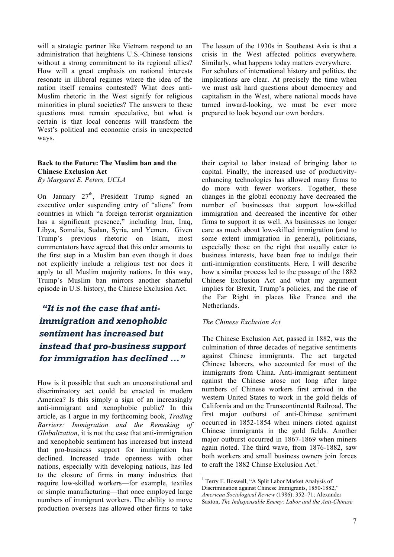will a strategic partner like Vietnam respond to an administration that heightens U.S.-Chinese tensions without a strong commitment to its regional allies? How will a great emphasis on national interests resonate in illiberal regimes where the idea of the nation itself remains contested? What does anti-Muslim rhetoric in the West signify for religious minorities in plural societies? The answers to these questions must remain speculative, but what is certain is that local concerns will transform the West's political and economic crisis in unexpected ways.

#### **Back to the Future: The Muslim ban and the Chinese Exclusion Act** *By Margaret E. Peters, UCLA*

On January 27<sup>th</sup>, President Trump signed an executive order suspending entry of "aliens" from countries in which "a foreign terrorist organization has a significant presence," including Iran, Iraq, Libya, Somalia, Sudan, Syria, and Yemen. Given Trump's previous rhetoric on Islam, most commentators have agreed that this order amounts to the first step in a Muslim ban even though it does not explicitly include a religious test nor does it apply to all Muslim majority nations. In this way, Trump's Muslim ban mirrors another shameful episode in U.S. history, the Chinese Exclusion Act.

# *"It is not the case that antiimmigration and xenophobic sentiment has increased but instead that pro-business support for immigration has declined …"*

How is it possible that such an unconstitutional and discriminatory act could be enacted in modern America? Is this simply a sign of an increasingly anti-immigrant and xenophobic public? In this article, as I argue in my forthcoming book, *Trading Barriers: Immigration and the Remaking of Globalization*, it is not the case that anti-immigration and xenophobic sentiment has increased but instead that pro-business support for immigration has declined. Increased trade openness with other nations, especially with developing nations, has led to the closure of firms in many industries that require low-skilled workers—for example, textiles or simple manufacturing—that once employed large numbers of immigrant workers. The ability to move production overseas has allowed other firms to take

The lesson of the 1930s in Southeast Asia is that a crisis in the West affected politics everywhere. Similarly, what happens today matters everywhere. For scholars of international history and politics, the implications are clear. At precisely the time when we must ask hard questions about democracy and capitalism in the West, where national moods have turned inward-looking, we must be ever more prepared to look beyond our own borders.

their capital to labor instead of bringing labor to capital. Finally, the increased use of productivityenhancing technologies has allowed many firms to do more with fewer workers. Together, these changes in the global economy have decreased the number of businesses that support low-skilled immigration and decreased the incentive for other firms to support it as well. As businesses no longer care as much about low-skilled immigration (and to some extent immigration in general), politicians, especially those on the right that usually cater to business interests, have been free to indulge their anti-immigration constituents. Here, I will describe how a similar process led to the passage of the 1882 Chinese Exclusion Act and what my argument implies for Brexit, Trump's policies, and the rise of the Far Right in places like France and the Netherlands.

### *The Chinese Exclusion Act*

The Chinese Exclusion Act, passed in 1882, was the culmination of three decades of negative sentiments against Chinese immigrants. The act targeted Chinese laborers, who accounted for most of the immigrants from China. Anti-immigrant sentiment against the Chinese arose not long after large numbers of Chinese workers first arrived in the western United States to work in the gold fields of California and on the Transcontinental Railroad. The first major outburst of anti-Chinese sentiment occurred in 1852-1854 when miners rioted against Chinese immigrants in the gold fields. Another major outburst occurred in 1867-1869 when miners again rioted. The third wave, from 1876-1882, saw both workers and small business owners join forces to craft the 1882 Chinse Exclusion Act.<sup>1</sup>

 <sup>1</sup> Terry E. Boswell, "A Split Labor Market Analysis of Discrimination against Chinese Immigrants, 1850-1882," *American Sociological Review* (1986): 352–71; Alexander Saxton, *The Indispensable Enemy: Labor and the Anti-Chinese*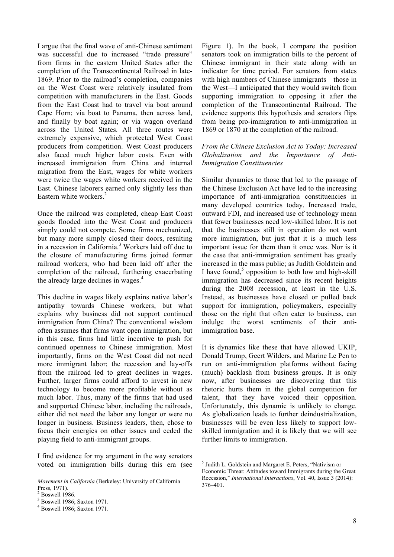I argue that the final wave of anti-Chinese sentiment was successful due to increased "trade pressure" from firms in the eastern United States after the completion of the Transcontinental Railroad in late-1869. Prior to the railroad's completion, companies on the West Coast were relatively insulated from competition with manufacturers in the East. Goods from the East Coast had to travel via boat around Cape Horn; via boat to Panama, then across land, and finally by boat again; or via wagon overland across the United States. All three routes were extremely expensive, which protected West Coast producers from competition. West Coast producers also faced much higher labor costs. Even with increased immigration from China and internal migration from the East, wages for white workers were twice the wages white workers received in the East. Chinese laborers earned only slightly less than Eastern white workers.<sup>2</sup>

Once the railroad was completed, cheap East Coast goods flooded into the West Coast and producers simply could not compete. Some firms mechanized, but many more simply closed their doors, resulting in a recession in California.<sup>3</sup> Workers laid off due to the closure of manufacturing firms joined former railroad workers, who had been laid off after the completion of the railroad, furthering exacerbating the already large declines in wages.<sup>4</sup>

This decline in wages likely explains native labor's antipathy towards Chinese workers, but what explains why business did not support continued immigration from China? The conventional wisdom often assumes that firms want open immigration, but in this case, firms had little incentive to push for continued openness to Chinese immigration. Most importantly, firms on the West Coast did not need more immigrant labor; the recession and lay-offs from the railroad led to great declines in wages. Further, larger firms could afford to invest in new technology to become more profitable without as much labor. Thus, many of the firms that had used and supported Chinese labor, including the railroads, either did not need the labor any longer or were no longer in business. Business leaders, then, chose to focus their energies on other issues and ceded the playing field to anti-immigrant groups.

I find evidence for my argument in the way senators voted on immigration bills during this era (see

 $\overline{a}$ 

Figure 1). In the book, I compare the position senators took on immigration bills to the percent of Chinese immigrant in their state along with an indicator for time period. For senators from states with high numbers of Chinese immigrants—those in the West—I anticipated that they would switch from supporting immigration to opposing it after the completion of the Transcontinental Railroad. The evidence supports this hypothesis and senators flips from being pro-immigration to anti-immigration in 1869 or 1870 at the completion of the railroad.

### *From the Chinese Exclusion Act to Today: Increased Globalization and the Importance of Anti-Immigration Constituencies*

Similar dynamics to those that led to the passage of the Chinese Exclusion Act have led to the increasing importance of anti-immigration constituencies in many developed countries today. Increased trade, outward FDI, and increased use of technology mean that fewer businesses need low-skilled labor. It is not that the businesses still in operation do not want more immigration, but just that it is a much less important issue for them than it once was. Nor is it the case that anti-immigration sentiment has greatly increased in the mass public; as Judith Goldstein and I have found,<sup>5</sup> opposition to both low and high-skill immigration has decreased since its recent heights during the 2008 recession, at least in the U.S. Instead, as businesses have closed or pulled back support for immigration, policymakers, especially those on the right that often cater to business, can indulge the worst sentiments of their antiimmigration base.

It is dynamics like these that have allowed UKIP, Donald Trump, Geert Wilders, and Marine Le Pen to run on anti-immigration platforms without facing (much) backlash from business groups. It is only now, after businesses are discovering that this rhetoric hurts them in the global competition for talent, that they have voiced their opposition. Unfortunately, this dynamic is unlikely to change. As globalization leads to further deindustrialization, businesses will be even less likely to support lowskilled immigration and it is likely that we will see further limits to immigration.

*Movement in California* (Berkeley: University of California Press, 1971).

Boswell 1986.

<sup>3</sup> Boswell 1986; Saxton 1971.

<sup>4</sup> Boswell 1986; Saxton 1971.

 <sup>5</sup> Judith L. Goldstein and Margaret E. Peters, "Nativism or Economic Threat: Attitudes toward Immigrants during the Great Recession," *International Interactions*, Vol. 40, Issue 3 (2014): 376–401.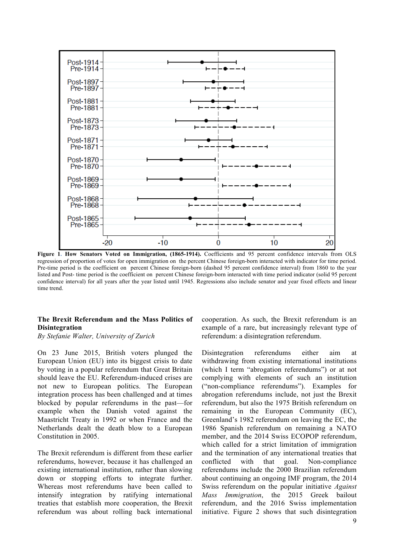

**Figure 1. How Senators Voted on Immigration, (1865-1914).** Coefficients and 95 percent confidence intervals from OLS regression of proportion of votes for open immigration on the percent Chinese foreign-born interacted with indicator for time period. Pre-time period is the coefficient on percent Chinese foreign-born (dashed 95 percent confidence interval) from 1860 to the year listed and Post- time period is the coefficient on percent Chinese foreign-born interacted with time period indicator (solid 95 percent confidence interval) for all years after the year listed until 1945. Regressions also include senator and year fixed effects and linear time trend.

#### **The Brexit Referendum and the Mass Politics of Disintegration**

*By Stefanie Walter, University of Zurich*

On 23 June 2015, British voters plunged the European Union (EU) into its biggest crisis to date by voting in a popular referendum that Great Britain should leave the EU. Referendum-induced crises are not new to European politics. The European integration process has been challenged and at times blocked by popular referendums in the past—for example when the Danish voted against the Maastricht Treaty in 1992 or when France and the Netherlands dealt the death blow to a European Constitution in 2005.

The Brexit referendum is different from these earlier referendums, however, because it has challenged an existing international institution, rather than slowing down or stopping efforts to integrate further. Whereas most referendums have been called to intensify integration by ratifying international treaties that establish more cooperation, the Brexit referendum was about rolling back international

cooperation. As such, the Brexit referendum is an example of a rare, but increasingly relevant type of referendum: a disintegration referendum.

Disintegration referendums either aim at withdrawing from existing international institutions (which I term "abrogation referendums") or at not complying with elements of such an institution ("non-compliance referendums"). Examples for abrogation referendums include, not just the Brexit referendum, but also the 1975 British referendum on remaining in the European Community (EC), Greenland's 1982 referendum on leaving the EC, the 1986 Spanish referendum on remaining a NATO member, and the 2014 Swiss ECOPOP referendum, which called for a strict limitation of immigration and the termination of any international treaties that conflicted with that goal. Non-compliance referendums include the 2000 Brazilian referendum about continuing an ongoing IMF program, the 2014 Swiss referendum on the popular initiative *Against Mass Immigration*, the 2015 Greek bailout referendum, and the 2016 Swiss implementation initiative. Figure 2 shows that such disintegration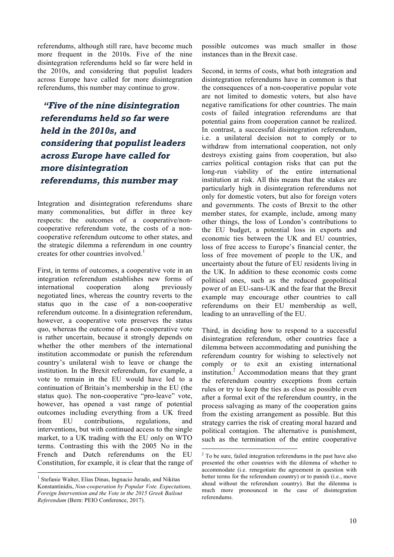referendums, although still rare, have become much more frequent in the 2010s. Five of the nine disintegration referendums held so far were held in the 2010s, and considering that populist leaders across Europe have called for more disintegration referendums, this number may continue to grow.

*"Five of the nine disintegration referendums held so far were held in the 2010s, and considering that populist leaders across Europe have called for more disintegration referendums, this number may*

Integration and disintegration referendums share many commonalities, but differ in three key respects: the outcomes of a cooperative/noncooperative referendum vote, the costs of a noncooperative referendum outcome to other states, and the strategic dilemma a referendum in one country creates for other countries involved.<sup>1</sup>

First, in terms of outcomes, a cooperative vote in an integration referendum establishes new forms of international cooperation along previously negotiated lines, whereas the country reverts to the status quo in the case of a non-cooperative referendum outcome. In a disintegration referendum, however, a cooperative vote preserves the status quo, whereas the outcome of a non-cooperative vote is rather uncertain, because it strongly depends on whether the other members of the international institution accommodate or punish the referendum country's unilateral wish to leave or change the institution. In the Brexit referendum, for example, a vote to remain in the EU would have led to a continuation of Britain's membership in the EU (the status quo). The non-cooperative "pro-leave" vote, however, has opened a vast range of potential outcomes including everything from a UK freed from EU contributions, regulations, and interventions, but with continued access to the single market, to a UK trading with the EU only on WTO terms. Contrasting this with the 2005 No in the French and Dutch referendums on the EU Constitution, for example, it is clear that the range of possible outcomes was much smaller in those instances than in the Brexit case.

Second, in terms of costs, what both integration and disintegration referendums have in common is that the consequences of a non-cooperative popular vote are not limited to domestic voters, but also have negative ramifications for other countries. The main costs of failed integration referendums are that potential gains from cooperation cannot be realized. In contrast, a successful disintegration referendum, i.e. a unilateral decision not to comply or to withdraw from international cooperation, not only destroys existing gains from cooperation, but also carries political contagion risks that can put the long-run viability of the entire international institution at risk. All this means that the stakes are particularly high in disintegration referendums not only for domestic voters, but also for foreign voters and governments. The costs of Brexit to the other member states, for example, include, among many other things, the loss of London's contributions to the EU budget, a potential loss in exports and economic ties between the UK and EU countries, loss of free access to Europe's financial center, the loss of free movement of people to the UK, and uncertainty about the future of EU residents living in the UK. In addition to these economic costs come political ones, such as the reduced geopolitical power of an EU-sans-UK and the fear that the Brexit example may encourage other countries to call referendums on their EU membership as well, leading to an unravelling of the EU.

Third, in deciding how to respond to a successful disintegration referendum, other countries face a dilemma between accommodating and punishing the referendum country for wishing to selectively not comply or to exit an existing international institution. $\alpha$ <sup>2</sup> Accommodation means that they grant the referendum country exceptions from certain rules or try to keep the ties as close as possible even after a formal exit of the referendum country, in the process salvaging as many of the cooperation gains from the existing arrangement as possible. But this strategy carries the risk of creating moral hazard and political contagion. The alternative is punishment, such as the termination of the entire cooperative

<sup>&</sup>lt;sup>1</sup> Stefanie Walter, Elias Dinas, Ingnacio Jurado, and Nikitas Konstantinidis, *Non-cooperation by Popular Vote. Expectations, Foreign Intervention and the Vote in the 2015 Greek Bailout Referendum* (Bern: PEIO Conference, 2017).

 $2^2$  To be sure, failed integration referendums in the past have also presented the other countries with the dilemma of whether to accommodate (i.e. renegotiate the agreement in question with better terms for the referendum country) or to punish (i.e., move ahead without the referendum country). But the dilemma is much more pronounced in the case of disintegration referendums.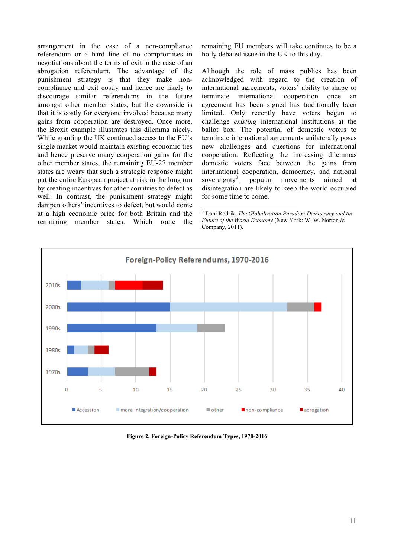arrangement in the case of a non-compliance referendum or a hard line of no compromises in negotiations about the terms of exit in the case of an abrogation referendum. The advantage of the punishment strategy is that they make noncompliance and exit costly and hence are likely to discourage similar referendums in the future amongst other member states, but the downside is that it is costly for everyone involved because many gains from cooperation are destroyed. Once more, the Brexit example illustrates this dilemma nicely. While granting the UK continued access to the EU's single market would maintain existing economic ties and hence preserve many cooperation gains for the other member states, the remaining EU-27 member states are weary that such a strategic response might put the entire European project at risk in the long run by creating incentives for other countries to defect as well. In contrast, the punishment strategy might dampen others' incentives to defect, but would come at a high economic price for both Britain and the remaining member states. Which route the

remaining EU members will take continues to be a hotly debated issue in the UK to this day.

Although the role of mass publics has been acknowledged with regard to the creation of international agreements, voters' ability to shape or terminate international cooperation once an agreement has been signed has traditionally been limited. Only recently have voters begun to challenge *existing* international institutions at the ballot box. The potential of domestic voters to terminate international agreements unilaterally poses new challenges and questions for international cooperation. Reflecting the increasing dilemmas domestic voters face between the gains from international cooperation, democracy, and national sovereignty<sup>3</sup>. , popular movements aimed at disintegration are likely to keep the world occupied for some time to come.

 <sup>3</sup> Dani Rodrik, *The Globalization Paradox: Democracy and the Future of the World Economy* (New York: W. W. Norton & Company, 2011).



**Figure 2. Foreign-Policy Referendum Types, 1970-2016**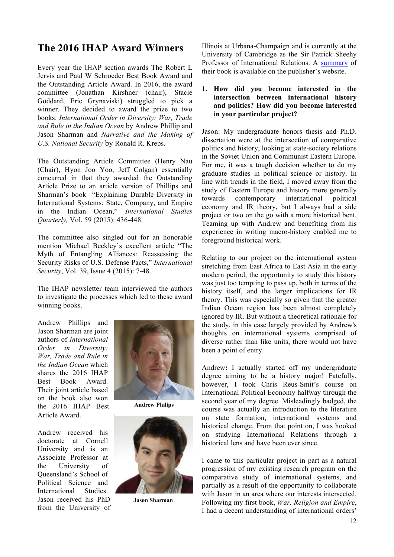# **The 2016 IHAP Award Winners**

Every year the IHAP section awards The Robert L Jervis and Paul W Schroeder Best Book Award and the Outstanding Article Award. In 2016, the award committee (Jonathan Kirshner (chair), Stacie Goddard, Eric Grynaviski) struggled to pick a winner. They decided to award the prize to two books: *International Order in Diversity: War, Trade and Rule in the Indian Ocean* by Andrew Phillip and Jason Sharman and *Narrative and the Making of U.S. National Security* by Ronald R. Krebs.

The Outstanding Article Committee (Henry Nau (Chair), Hyon Joo Yoo, Jeff Colgan) essentially concurred in that they awarded the Outstanding Article Prize to an article version of Phillips and Sharman's book "Explaining Durable Diversity in International Systems: State, Company, and Empire in the Indian Ocean," *International Studies Quarterly,* Vol. 59 (2015): 436-448.

The committee also singled out for an honorable mention Michael Beckley's excellent article "The Myth of Entangling Alliances: Reassessing the Security Risks of U.S. Defense Pacts," *International Security*, Vol. 39, Issue 4 (2015): 7-48.

The IHAP newsletter team interviewed the authors to investigate the processes which led to these award winning books.

Andrew Phillips and Jason Sharman are joint authors of *International Order in Diversity: War, Trade and Rule in the Indian Ocean* which shares the 2016 IHAP Best Book Award. Their joint article based on the book also won the 2016 IHAP Best Article Award.

Andrew received his doctorate at Cornell University and is an Associate Professor at the University of Queensland's School of Political Science and International Studies. Jason received his PhD from the University of



**Andrew Philips**



**Jason Sharman**

Illinois at Urbana-Champaign and is currently at the University of Cambridge as the Sir Patrick Sheehy Professor of International Relations. A summary of their book is available on the publisher's website.

### **1. How did you become interested in the intersection between international history and politics? How did you become interested in your particular project?**

Jason: My undergraduate honors thesis and Ph.D. dissertation were at the intersection of comparative politics and history, looking at state-society relations in the Soviet Union and Communist Eastern Europe. For me, it was a tough decision whether to do my graduate studies in political science or history. In line with trends in the field, I moved away from the study of Eastern Europe and history more generally towards contemporary international political economy and IR theory, but I always had a side project or two on the go with a more historical bent. Teaming up with Andrew and benefiting from his experience in writing macro-history enabled me to foreground historical work.

Relating to our project on the international system stretching from East Africa to East Asia in the early modern period, the opportunity to study this history was just too tempting to pass up, both in terms of the history itself, and the larger implications for IR theory. This was especially so given that the greater Indian Ocean region has been almost completely ignored by IR. But without a theoretical rationale for the study, in this case largely provided by Andrew's thoughts on international systems comprised of diverse rather than like units, there would not have been a point of entry.

Andrew**:** I actually started off my undergraduate degree aiming to be a history major! Fatefully, however, I took Chris Reus-Smit's course on International Political Economy halfway through the second year of my degree. Misleadingly badged, the course was actually an introduction to the literature on state formation, international systems and historical change. From that point on, I was hooked on studying International Relations through a historical lens and have been ever since.

I came to this particular project in part as a natural progression of my existing research program on the comparative study of international systems, and partially as a result of the opportunity to collaborate with Jason in an area where our interests intersected. Following my first book, *War, Religion and Empire*, I had a decent understanding of international orders'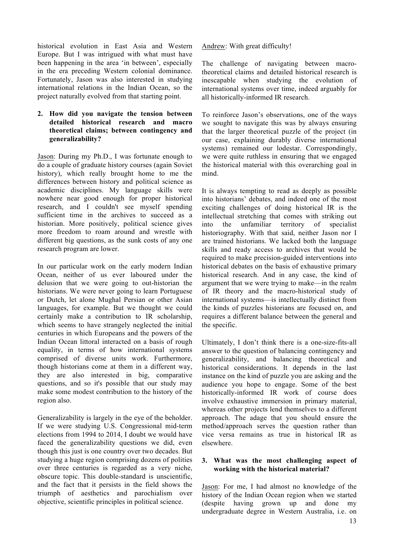historical evolution in East Asia and Western Europe. But I was intrigued with what must have been happening in the area 'in between', especially in the era preceding Western colonial dominance. Fortunately, Jason was also interested in studying international relations in the Indian Ocean, so the project naturally evolved from that starting point.

### **2. How did you navigate the tension between detailed historical research and macro theoretical claims; between contingency and generalizability?**

Jason: During my Ph.D., I was fortunate enough to do a couple of graduate history courses (again Soviet history), which really brought home to me the differences between history and political science as academic disciplines. My language skills were nowhere near good enough for proper historical research, and I couldn't see myself spending sufficient time in the archives to succeed as a historian. More positively, political science gives more freedom to roam around and wrestle with different big questions, as the sunk costs of any one research program are lower.

In our particular work on the early modern Indian Ocean, neither of us ever laboured under the delusion that we were going to out-historian the historians. We were never going to learn Portuguese or Dutch, let alone Mughal Persian or other Asian languages, for example. But we thought we could certainly make a contribution to IR scholarship, which seems to have strangely neglected the initial centuries in which Europeans and the powers of the Indian Ocean littoral interacted on a basis of rough equality, in terms of how international systems comprised of diverse units work. Furthermore, though historians come at them in a different way, they are also interested in big, comparative questions, and so it's possible that our study may make some modest contribution to the history of the region also.

Generalizability is largely in the eye of the beholder. If we were studying U.S. Congressional mid-term elections from 1994 to 2014, I doubt we would have faced the generalizability questions we did, even though this just is one country over two decades. But studying a huge region comprising dozens of polities over three centuries is regarded as a very niche, obscure topic. This double-standard is unscientific, and the fact that it persists in the field shows the triumph of aesthetics and parochialism over objective, scientific principles in political science.

Andrew: With great difficulty!

The challenge of navigating between macrotheoretical claims and detailed historical research is inescapable when studying the evolution of international systems over time, indeed arguably for all historically-informed IR research.

To reinforce Jason's observations, one of the ways we sought to navigate this was by always ensuring that the larger theoretical puzzle of the project (in our case, explaining durably diverse international systems) remained our lodestar. Correspondingly, we were quite ruthless in ensuring that we engaged the historical material with this overarching goal in mind.

It is always tempting to read as deeply as possible into historians' debates, and indeed one of the most exciting challenges of doing historical IR is the intellectual stretching that comes with striking out into the unfamiliar territory of specialist historiography. With that said, neither Jason nor I are trained historians. We lacked both the language skills and ready access to archives that would be required to make precision-guided interventions into historical debates on the basis of exhaustive primary historical research. And in any case, the kind of argument that we were trying to make—in the realm of IR theory and the macro-historical study of international systems—is intellectually distinct from the kinds of puzzles historians are focused on, and requires a different balance between the general and the specific.

Ultimately, I don't think there is a one-size-fits-all answer to the question of balancing contingency and generalizability, and balancing theoretical and historical considerations. It depends in the last instance on the kind of puzzle you are asking and the audience you hope to engage. Some of the best historically-informed IR work of course does involve exhaustive immersion in primary material, whereas other projects lend themselves to a different approach. The adage that you should ensure the method/approach serves the question rather than vice versa remains as true in historical IR as elsewhere.

### **3. What was the most challenging aspect of working with the historical material?**

Jason: For me, I had almost no knowledge of the history of the Indian Ocean region when we started (despite having grown up and done my undergraduate degree in Western Australia, i.e. on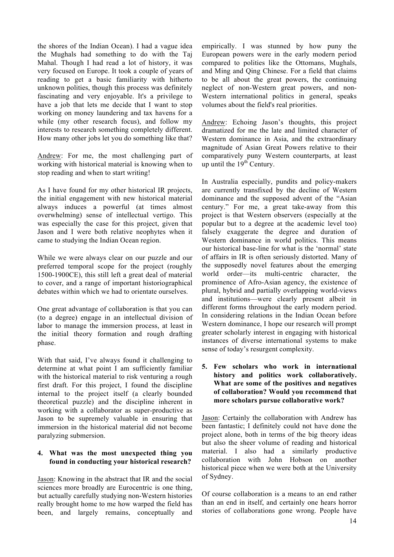the shores of the Indian Ocean). I had a vague idea the Mughals had something to do with the Taj Mahal. Though I had read a lot of history, it was very focused on Europe. It took a couple of years of reading to get a basic familiarity with hitherto unknown polities, though this process was definitely fascinating and very enjoyable. It's a privilege to have a job that lets me decide that I want to stop working on money laundering and tax havens for a while (my other research focus), and follow my interests to research something completely different. How many other jobs let you do something like that?

Andrew: For me, the most challenging part of working with historical material is knowing when to stop reading and when to start writing!

As I have found for my other historical IR projects, the initial engagement with new historical material always induces a powerful (at times almost overwhelming) sense of intellectual vertigo. This was especially the case for this project, given that Jason and I were both relative neophytes when it came to studying the Indian Ocean region.

While we were always clear on our puzzle and our preferred temporal scope for the project (roughly 1500-1900CE), this still left a great deal of material to cover, and a range of important historiographical debates within which we had to orientate ourselves.

One great advantage of collaboration is that you can (to a degree) engage in an intellectual division of labor to manage the immersion process, at least in the initial theory formation and rough drafting phase.

With that said, I've always found it challenging to determine at what point I am sufficiently familiar with the historical material to risk venturing a rough first draft. For this project, I found the discipline internal to the project itself (a clearly bounded theoretical puzzle) and the discipline inherent in working with a collaborator as super-productive as Jason to be supremely valuable in ensuring that immersion in the historical material did not become paralyzing submersion.

### **4. What was the most unexpected thing you found in conducting your historical research?**

Jason: Knowing in the abstract that IR and the social sciences more broadly are Eurocentric is one thing, but actually carefully studying non-Western histories really brought home to me how warped the field has been, and largely remains, conceptually and empirically. I was stunned by how puny the European powers were in the early modern period compared to polities like the Ottomans, Mughals, and Ming and Qing Chinese. For a field that claims to be all about the great powers, the continuing neglect of non-Western great powers, and non-Western international politics in general, speaks volumes about the field's real priorities.

Andrew: Echoing Jason's thoughts, this project dramatized for me the late and limited character of Western dominance in Asia, and the extraordinary magnitude of Asian Great Powers relative to their comparatively puny Western counterparts, at least up until the  $19<sup>th</sup>$  Century.

In Australia especially, pundits and policy-makers are currently transfixed by the decline of Western dominance and the supposed advent of the "Asian century." For me, a great take-away from this project is that Western observers (especially at the popular but to a degree at the academic level too) falsely exaggerate the degree and duration of Western dominance in world politics. This means our historical base-line for what is the 'normal' state of affairs in IR is often seriously distorted. Many of the supposedly novel features about the emerging world order—its multi-centric character, the prominence of Afro-Asian agency, the existence of plural, hybrid and partially overlapping world-views and institutions—were clearly present albeit in different forms throughout the early modern period. In considering relations in the Indian Ocean before Western dominance, I hope our research will prompt greater scholarly interest in engaging with historical instances of diverse international systems to make sense of today's resurgent complexity.

### **5. Few scholars who work in international history and politics work collaboratively. What are some of the positives and negatives of collaboration? Would you recommend that more scholars pursue collaborative work?**

Jason: Certainly the collaboration with Andrew has been fantastic; I definitely could not have done the project alone, both in terms of the big theory ideas but also the sheer volume of reading and historical material. I also had a similarly productive collaboration with John Hobson on another historical piece when we were both at the University of Sydney.

Of course collaboration is a means to an end rather than an end in itself, and certainly one hears horror stories of collaborations gone wrong. People have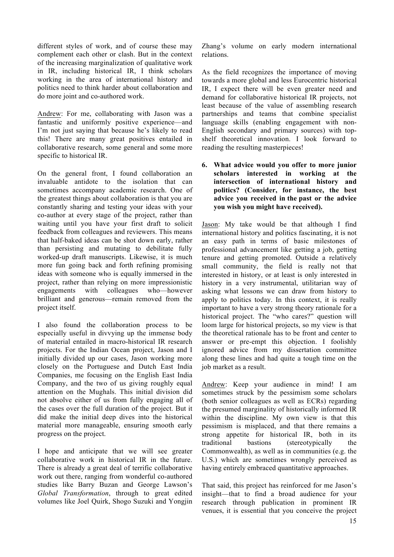different styles of work, and of course these may complement each other or clash. But in the context of the increasing marginalization of qualitative work in IR, including historical IR, I think scholars working in the area of international history and politics need to think harder about collaboration and do more joint and co-authored work.

Andrew: For me, collaborating with Jason was a fantastic and uniformly positive experience—and I'm not just saying that because he's likely to read this! There are many great positives entailed in collaborative research, some general and some more specific to historical IR.

On the general front, I found collaboration an invaluable antidote to the isolation that can sometimes accompany academic research. One of the greatest things about collaboration is that you are constantly sharing and testing your ideas with your co-author at every stage of the project, rather than waiting until you have your first draft to solicit feedback from colleagues and reviewers. This means that half-baked ideas can be shot down early, rather than persisting and mutating to debilitate fully worked-up draft manuscripts. Likewise, it is much more fun going back and forth refining promising ideas with someone who is equally immersed in the project, rather than relying on more impressionistic engagements with colleagues who—however brilliant and generous—remain removed from the project itself.

I also found the collaboration process to be especially useful in divvying up the immense body of material entailed in macro-historical IR research projects. For the Indian Ocean project, Jason and I initially divided up our cases, Jason working more closely on the Portuguese and Dutch East India Companies, me focusing on the English East India Company, and the two of us giving roughly equal attention on the Mughals. This initial division did not absolve either of us from fully engaging all of the cases over the full duration of the project. But it did make the initial deep dives into the historical material more manageable, ensuring smooth early progress on the project.

I hope and anticipate that we will see greater collaborative work in historical IR in the future. There is already a great deal of terrific collaborative work out there, ranging from wonderful co-authored studies like Barry Buzan and George Lawson's *Global Transformation*, through to great edited volumes like Joel Quirk, Shogo Suzuki and Yongjin

Zhang's volume on early modern international relations.

As the field recognizes the importance of moving towards a more global and less Eurocentric historical IR, I expect there will be even greater need and demand for collaborative historical IR projects, not least because of the value of assembling research partnerships and teams that combine specialist language skills (enabling engagement with non-English secondary and primary sources) with topshelf theoretical innovation. I look forward to reading the resulting masterpieces!

**6. What advice would you offer to more junior scholars interested in working at the intersection of international history and politics? (Consider, for instance, the best advice you received in the past or the advice you wish you might have received).**

Jason: My take would be that although I find international history and politics fascinating, it is not an easy path in terms of basic milestones of professional advancement like getting a job, getting tenure and getting promoted. Outside a relatively small community, the field is really not that interested in history, or at least is only interested in history in a very instrumental, utilitarian way of asking what lessons we can draw from history to apply to politics today. In this context, it is really important to have a very strong theory rationale for a historical project. The "who cares?" question will loom large for historical projects, so my view is that the theoretical rationale has to be front and center to answer or pre-empt this objection. I foolishly ignored advice from my dissertation committee along these lines and had quite a tough time on the job market as a result.

Andrew: Keep your audience in mind! I am sometimes struck by the pessimism some scholars (both senior colleagues as well as ECRs) regarding the presumed marginality of historically informed IR within the discipline. My own view is that this pessimism is misplaced, and that there remains a strong appetite for historical IR, both in its traditional bastions (stereotypically the Commonwealth), as well as in communities (e.g. the U.S.) which are sometimes wrongly perceived as having entirely embraced quantitative approaches.

That said, this project has reinforced for me Jason's insight—that to find a broad audience for your research through publication in prominent IR venues, it is essential that you conceive the project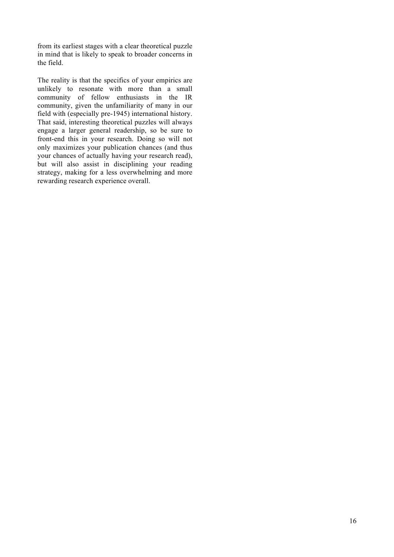from its earliest stages with a clear theoretical puzzle in mind that is likely to speak to broader concerns in the field.

The reality is that the specifics of your empirics are unlikely to resonate with more than a small community of fellow enthusiasts in the IR community, given the unfamiliarity of many in our field with (especially pre-1945) international history. That said, interesting theoretical puzzles will always engage a larger general readership, so be sure to front-end this in your research. Doing so will not only maximizes your publication chances (and thus your chances of actually having your research read), but will also assist in disciplining your reading strategy, making for a less overwhelming and more rewarding research experience overall.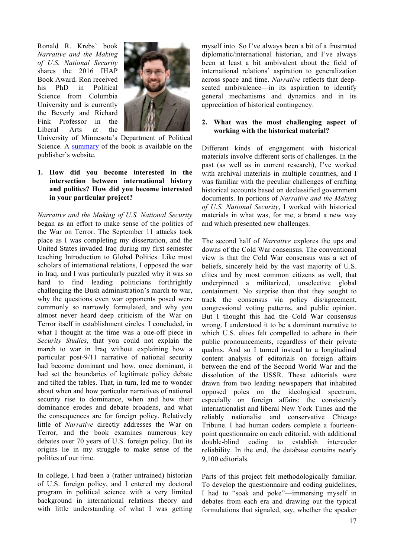Ronald R. Krebs' book *Narrative and the Making of U.S. National Security* shares the 2016 IHAP Book Award. Ron received his PhD in Political Science from Columbia University and is currently the Beverly and Richard Fink Professor in the Liberal Arts at the



University of Minnesota's Department of Political Science. A summary of the book is available on the publisher's website.

**1. How did you become interested in the intersection between international history and politics? How did you become interested in your particular project?**

*Narrative and the Making of U.S. National Security* began as an effort to make sense of the politics of the War on Terror. The September 11 attacks took place as I was completing my dissertation, and the United States invaded Iraq during my first semester teaching Introduction to Global Politics. Like most scholars of international relations, I opposed the war in Iraq, and I was particularly puzzled why it was so hard to find leading politicians forthrightly challenging the Bush administration's march to war, why the questions even war opponents posed were commonly so narrowly formulated, and why you almost never heard deep criticism of the War on Terror itself in establishment circles. I concluded, in what I thought at the time was a one-off piece in *Security Studies*, that you could not explain the march to war in Iraq without explaining how a particular post-9/11 narrative of national security had become dominant and how, once dominant, it had set the boundaries of legitimate policy debate and tilted the tables. That, in turn, led me to wonder about when and how particular narratives of national security rise to dominance, when and how their dominance erodes and debate broadens, and what the consequences are for foreign policy. Relatively little of *Narrative* directly addresses the War on Terror, and the book examines numerous key debates over 70 years of U.S. foreign policy. But its origins lie in my struggle to make sense of the politics of our time.

In college, I had been a (rather untrained) historian of U.S. foreign policy, and I entered my doctoral program in political science with a very limited background in international relations theory and with little understanding of what I was getting

myself into. So I've always been a bit of a frustrated diplomatic/international historian, and I've always been at least a bit ambivalent about the field of international relations' aspiration to generalization across space and time. *Narrative* reflects that deepseated ambivalence—in its aspiration to identify general mechanisms and dynamics and in its appreciation of historical contingency.

### **2. What was the most challenging aspect of working with the historical material?**

Different kinds of engagement with historical materials involve different sorts of challenges. In the past (as well as in current research), I've worked with archival materials in multiple countries, and I was familiar with the peculiar challenges of crafting historical accounts based on declassified government documents. In portions of *Narrative and the Making of U.S. National Security*, I worked with historical materials in what was, for me, a brand a new way and which presented new challenges.

The second half of *Narrative* explores the ups and downs of the Cold War consensus. The conventional view is that the Cold War consensus was a set of beliefs, sincerely held by the vast majority of U.S. elites and by most common citizens as well, that underpinned a militarized, unselective global containment. No surprise then that they sought to track the consensus via policy dis/agreement, congressional voting patterns, and public opinion. But I thought this had the Cold War consensus wrong. I understood it to be a dominant narrative to which U.S. elites felt compelled to adhere in their public pronouncements, regardless of their private qualms. And so I turned instead to a longitudinal content analysis of editorials on foreign affairs between the end of the Second World War and the dissolution of the USSR. These editorials were drawn from two leading newspapers that inhabited opposed poles on the ideological spectrum, especially on foreign affairs: the consistently internationalist and liberal New York Times and the reliably nationalist and conservative Chicago Tribune. I had human coders complete a fourteenpoint questionnaire on each editorial, with additional double-blind coding to establish intercoder reliability. In the end, the database contains nearly 9,100 editorials.

Parts of this project felt methodologically familiar. To develop the questionnaire and coding guidelines, I had to "soak and poke"—immersing myself in debates from each era and drawing out the typical formulations that signaled, say, whether the speaker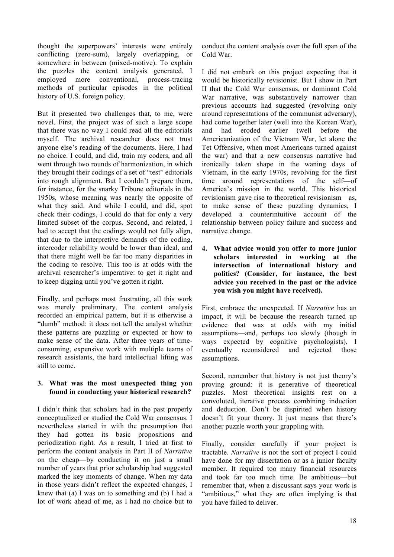thought the superpowers' interests were entirely conflicting (zero-sum), largely overlapping, or somewhere in between (mixed-motive). To explain the puzzles the content analysis generated, I employed more conventional, process-tracing methods of particular episodes in the political history of U.S. foreign policy.

But it presented two challenges that, to me, were novel. First, the project was of such a large scope that there was no way I could read all the editorials myself. The archival researcher does not trust anyone else's reading of the documents. Here, I had no choice. I could, and did, train my coders, and all went through two rounds of harmonization, in which they brought their codings of a set of "test" editorials into rough alignment. But I couldn't prepare them, for instance, for the snarky Tribune editorials in the 1950s, whose meaning was nearly the opposite of what they said. And while I could, and did, spot check their codings, I could do that for only a very limited subset of the corpus. Second, and related, I had to accept that the codings would not fully align, that due to the interpretive demands of the coding, intercoder reliability would be lower than ideal, and that there might well be far too many disparities in the coding to resolve. This too is at odds with the archival researcher's imperative: to get it right and to keep digging until you've gotten it right.

Finally, and perhaps most frustrating, all this work was merely preliminary. The content analysis recorded an empirical pattern, but it is otherwise a "dumb" method: it does not tell the analyst whether these patterns are puzzling or expected or how to make sense of the data. After three years of timeconsuming, expensive work with multiple teams of research assistants, the hard intellectual lifting was still to come.

### **3. What was the most unexpected thing you found in conducting your historical research?**

I didn't think that scholars had in the past properly conceptualized or studied the Cold War consensus. I nevertheless started in with the presumption that they had gotten its basic propositions and periodization right. As a result, I tried at first to perform the content analysis in Part II of *Narrative* on the cheap—by conducting it on just a small number of years that prior scholarship had suggested marked the key moments of change. When my data in those years didn't reflect the expected changes, I knew that (a) I was on to something and (b) I had a lot of work ahead of me, as I had no choice but to

conduct the content analysis over the full span of the Cold War.

I did not embark on this project expecting that it would be historically revisionist. But I show in Part II that the Cold War consensus, or dominant Cold War narrative, was substantively narrower than previous accounts had suggested (revolving only around representations of the communist adversary), had come together later (well into the Korean War), and had eroded earlier (well before the Americanization of the Vietnam War, let alone the Tet Offensive, when most Americans turned against the war) and that a new consensus narrative had ironically taken shape in the waning days of Vietnam, in the early 1970s, revolving for the first time around representations of the self—of America's mission in the world. This historical revisionism gave rise to theoretical revisionism—as, to make sense of these puzzling dynamics, I developed a counterintuitive account of the relationship between policy failure and success and narrative change.

**4. What advice would you offer to more junior scholars interested in working at the intersection of international history and politics? (Consider, for instance, the best advice you received in the past or the advice you wish you might have received).**

First, embrace the unexpected. If *Narrative* has an impact, it will be because the research turned up evidence that was at odds with my initial assumptions—and, perhaps too slowly (though in ways expected by cognitive psychologists), I eventually reconsidered and rejected those assumptions.

Second, remember that history is not just theory's proving ground: it is generative of theoretical puzzles. Most theoretical insights rest on a convoluted, iterative process combining induction and deduction. Don't be dispirited when history doesn't fit your theory. It just means that there's another puzzle worth your grappling with.

Finally, consider carefully if your project is tractable. *Narrative* is not the sort of project I could have done for my dissertation or as a junior faculty member. It required too many financial resources and took far too much time. Be ambitious—but remember that, when a discussant says your work is "ambitious," what they are often implying is that you have failed to deliver.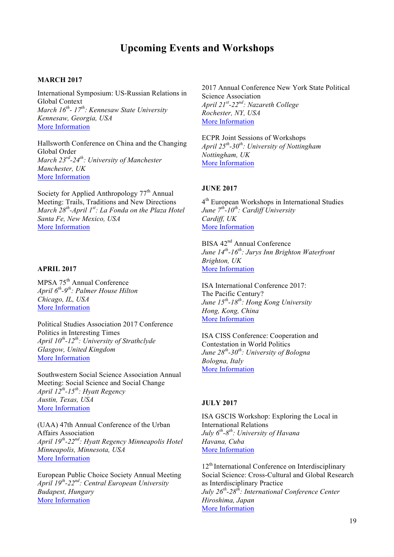# **Upcoming Events and Workshops**

### **MARCH 2017**

International Symposium: US-Russian Relations in Global Context *March 16th- 17th : Kennesaw State University Kennesaw, Georgia, USA* More Information

Hallsworth Conference on China and the Changing Global Order *March 23rd-24th: University of Manchester Manchester, UK* More Information

Society for Applied Anthropology  $77<sup>th</sup>$  Annual Meeting: Trails, Traditions and New Directions *March 28th-April 1st: La Fonda on the Plaza Hotel Santa Fe, New Mexico, USA* More Information

#### **APRIL 2017**

MPSA 75<sup>th</sup> Annual Conference *April 6th-9th: Palmer House Hilton Chicago, IL, USA* More Information

Political Studies Association 2017 Conference Politics in Interesting Times *April 10th-12th: University of Strathclyde Glasgow, United Kingdom* More Information

Southwestern Social Science Association Annual Meeting: Social Science and Social Change *April 12th-15th: Hyatt Regency Austin, Texas, USA* More Information

(UAA) 47th Annual Conference of the Urban Affairs Association *April 19th-22nd: Hyatt Regency Minneapolis Hotel Minneapolis, Minnesota, USA* More Information

European Public Choice Society Annual Meeting *April 19th-22nd : Central European University Budapest, Hungary* More Information

2017 Annual Conference New York State Political Science Association *April 21st -22nd: Nazareth College Rochester, NY, USA* More Information

ECPR Joint Sessions of Workshops *April 25th-30th: University of Nottingham Nottingham, UK* More Information

### **JUNE 2017**

4th European Workshops in International Studies *June*  $7^{th}$ -10<sup>th</sup>: Cardiff University *Cardiff, UK* More Information

BISA 42<sup>nd</sup> Annual Conference *June 14th-16th: Jurys Inn Brighton Waterfront Brighton, UK* More Information

ISA International Conference 2017: The Pacific Century? *June 15th-18th: Hong Kong University Hong, Kong, China* More Information

ISA CISS Conference: Cooperation and Contestation in World Politics *June 28th-30th : University of Bologna Bologna, Italy* More Information

### **JULY 2017**

ISA GSCIS Workshop: Exploring the Local in International Relations *July 6th-8th: University of Havana Havana, Cuba* More Information

12<sup>th</sup> International Conference on Interdisciplinary Social Science: Cross-Cultural and Global Research as Interdisciplinary Practice *July 26th-28th: International Conference Center Hiroshima, Japan* More Information